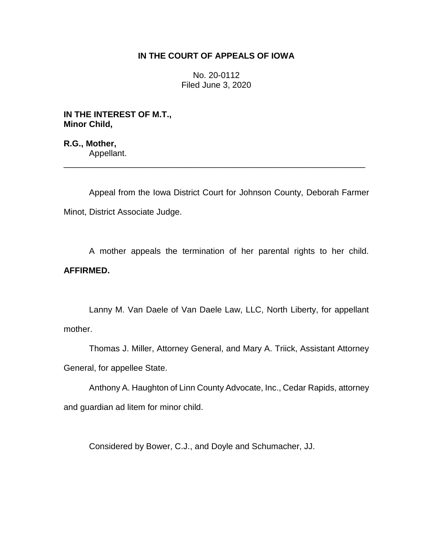## **IN THE COURT OF APPEALS OF IOWA**

No. 20-0112 Filed June 3, 2020

**IN THE INTEREST OF M.T., Minor Child,**

**R.G., Mother,** Appellant.

Appeal from the Iowa District Court for Johnson County, Deborah Farmer Minot, District Associate Judge.

\_\_\_\_\_\_\_\_\_\_\_\_\_\_\_\_\_\_\_\_\_\_\_\_\_\_\_\_\_\_\_\_\_\_\_\_\_\_\_\_\_\_\_\_\_\_\_\_\_\_\_\_\_\_\_\_\_\_\_\_\_\_\_\_

A mother appeals the termination of her parental rights to her child. **AFFIRMED.**

Lanny M. Van Daele of Van Daele Law, LLC, North Liberty, for appellant mother.

Thomas J. Miller, Attorney General, and Mary A. Triick, Assistant Attorney General, for appellee State.

Anthony A. Haughton of Linn County Advocate, Inc., Cedar Rapids, attorney and guardian ad litem for minor child.

Considered by Bower, C.J., and Doyle and Schumacher, JJ.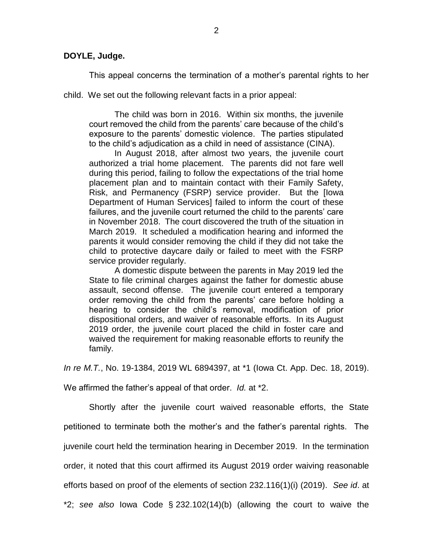## **DOYLE, Judge.**

This appeal concerns the termination of a mother's parental rights to her

child. We set out the following relevant facts in a prior appeal:

The child was born in 2016. Within six months, the juvenile court removed the child from the parents' care because of the child's exposure to the parents' domestic violence. The parties stipulated to the child's adjudication as a child in need of assistance (CINA).

In August 2018, after almost two years, the juvenile court authorized a trial home placement. The parents did not fare well during this period, failing to follow the expectations of the trial home placement plan and to maintain contact with their Family Safety, Risk, and Permanency (FSRP) service provider. But the [Iowa Department of Human Services] failed to inform the court of these failures, and the juvenile court returned the child to the parents' care in November 2018. The court discovered the truth of the situation in March 2019. It scheduled a modification hearing and informed the parents it would consider removing the child if they did not take the child to protective daycare daily or failed to meet with the FSRP service provider regularly.

A domestic dispute between the parents in May 2019 led the State to file criminal charges against the father for domestic abuse assault, second offense. The juvenile court entered a temporary order removing the child from the parents' care before holding a hearing to consider the child's removal, modification of prior dispositional orders, and waiver of reasonable efforts. In its August 2019 order, the juvenile court placed the child in foster care and waived the requirement for making reasonable efforts to reunify the family.

*In re M.T.*, No. 19-1384, 2019 WL 6894397, at \*1 (Iowa Ct. App. Dec. 18, 2019).

We affirmed the father's appeal of that order. *Id.* at \*2.

Shortly after the juvenile court waived reasonable efforts, the State petitioned to terminate both the mother's and the father's parental rights. The juvenile court held the termination hearing in December 2019. In the termination order, it noted that this court affirmed its August 2019 order waiving reasonable efforts based on proof of the elements of section 232.116(1)(i) (2019). *See id*. at \*2; *see also* Iowa Code § 232.102(14)(b) (allowing the court to waive the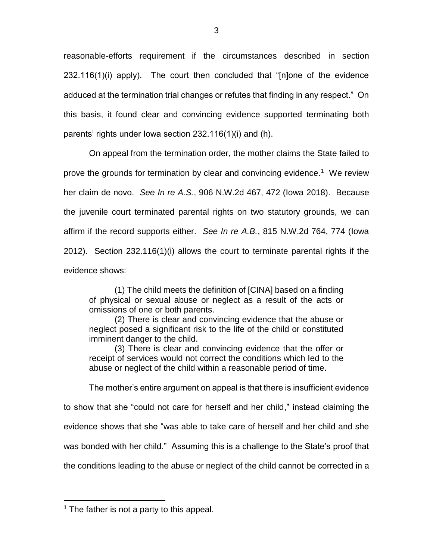reasonable-efforts requirement if the circumstances described in section 232.116(1)(i) apply). The court then concluded that "[n]one of the evidence adduced at the termination trial changes or refutes that finding in any respect." On this basis, it found clear and convincing evidence supported terminating both parents' rights under Iowa section 232.116(1)(i) and (h).

On appeal from the termination order, the mother claims the State failed to prove the grounds for termination by clear and convincing evidence.<sup>1</sup> We review her claim de novo. *See In re A.S.*, 906 N.W.2d 467, 472 (Iowa 2018). Because the juvenile court terminated parental rights on two statutory grounds, we can affirm if the record supports either. *See In re A.B.*, 815 N.W.2d 764, 774 (Iowa 2012). Section 232.116(1)(i) allows the court to terminate parental rights if the evidence shows:

(1) The child meets the definition of [CINA] based on a finding of physical or sexual abuse or neglect as a result of the acts or omissions of one or both parents.

(2) There is clear and convincing evidence that the abuse or neglect posed a significant risk to the life of the child or constituted imminent danger to the child.

(3) There is clear and convincing evidence that the offer or receipt of services would not correct the conditions which led to the abuse or neglect of the child within a reasonable period of time.

The mother's entire argument on appeal is that there is insufficient evidence to show that she "could not care for herself and her child," instead claiming the evidence shows that she "was able to take care of herself and her child and she was bonded with her child." Assuming this is a challenge to the State's proof that the conditions leading to the abuse or neglect of the child cannot be corrected in a

 $\overline{a}$  $<sup>1</sup>$  The father is not a party to this appeal.</sup>